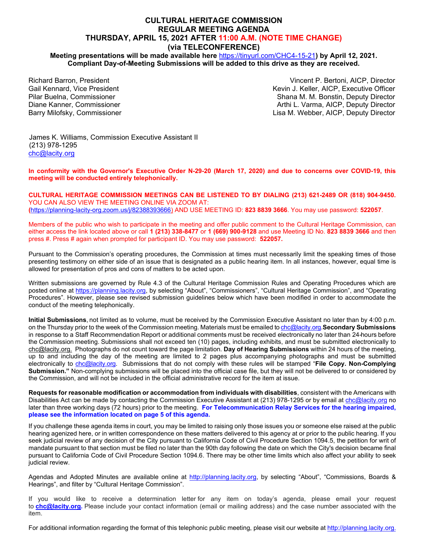# **CULTURAL HERITAGE COMMISSION REGULAR MEETING AGENDA THURSDAY, APRIL 15, 2021 AFTER 11:00 A.M. (NOTE TIME CHANGE) (via TELECONFERENCE)**

**Meeting presentations will be made available here** <https://tinyurl.com/CHC4-15-21>**) by April 12, 2021. Compliant Day-of-Meeting Submissions will be added to this drive as they are received.** 

Richard Barron, President Gail Kennard, Vice President Pilar Buelna, Commissioner Diane Kanner, Commissioner Barry Milofsky, Commissioner

Vincent P. Bertoni, AICP, Director Kevin J. Keller, AICP, Executive Officer Shana M. M. Bonstin, Deputy Director Arthi L. Varma, AICP, Deputy Director Lisa M. Webber, AICP, Deputy Director

James K. Williams, Commission Executive Assistant II (213) 978-1295 [chc@lacity.org](mailto:chc@lacity.org)

**In conformity with the Governor's Executive Order N-29-20 (March 17, 2020) and due to concerns over COVID-19, this meeting will be conducted entirely telephonically.** 

**CULTURAL HERITAGE COMMISSION MEETINGS CAN BE LISTENED TO BY DIALING (213) 621-2489 OR (818) 904-9450.** YOU CAN ALSO VIEW THE MEETING ONLINE VIA ZOOM AT: **(**[https://planning-lacity-org.zoom.us/j/82388393666\)](https://planning-lacity-org.zoom.us/j/82388393666) AND USE MEETING ID: **823 8839 3666**. You may use password: **522057**.

Members of the public who wish to participate in the meeting and offer public comment to the Cultural Heritage Commission, can either access the link located above or call **1 (213) 338-8477** or **1 (669) 900-9128** and use Meeting ID No. **823 8839 3666** and then press #. Press # again when prompted for participant ID. You may use password: **522057.**

Pursuant to the Commission's operating procedures, the Commission at times must necessarily limit the speaking times of those presenting testimony on either side of an issue that is designated as a public hearing item. In all instances, however, equal time is allowed for presentation of pros and cons of matters to be acted upon.

Written submissions are governed by Rule 4.3 of the Cultural Heritage Commission Rules and Operating Procedures which are posted online at [https://planning.lacity.org,](https://planning.lacity.org/) by selecting "About", "Commissioners", "Cultural Heritage Commission", and "Operating Procedures". However, please see revised submission guidelines below which have been modified in order to accommodate the conduct of the meeting telephonically.

**Initial Submissions**, not limited as to volume, must be received by the Commission Executive Assistant no later than by 4:00 p.m. on the Thursday prior to the week of the Commission meeting. Materials must be emailed t[o chc@lacity.org.](mailto:chc@lacity.org)**Secondary Submissions** in response to a Staff Recommendation Report or additional comments must be received electronically no later than 24-hours before the Commission meeting. Submissions shall not exceed ten (10) pages, including exhibits, and must be submitted electronically to [chc@lacity.org.](mailto:chc@lacity.org) Photographs do not count toward the page limitation. **Day of Hearing Submissions** within 24 hours of the meeting, up to and including the day of the meeting are limited to 2 pages plus accompanying photographs and must be submitted electronically to [chc@lacity.org.](mailto:chc@lacity.org) Submissions that do not comply with these rules will be stamped "**File Copy. Non-Complying Submission."** Non-complying submissions will be placed into the official case file, but they will not be delivered to or considered by the Commission, and will not be included in the official administrative record for the item at issue.

**Requests for reasonable modification or accommodation from individuals with disabilities**, consistent with the Americans with Disabilities Act can be made by contacting the Commission Executive Assistant at (213) 978-1295 or by email at [chc@lacity.org](mailto:chc@lacity.org) no later than three working days (72 hours) prior to the meeting. **For Telecommunication Relay Services for the hearing impaired, please see the information located on page 5 of this agenda.**

If you challenge these agenda items in court, you may be limited to raising only those issues you or someone else raised at the public hearing agenized here, or in written correspondence on these matters delivered to this agency at or prior to the public hearing. If you seek judicial review of any decision of the City pursuant to California Code of Civil Procedure Section 1094.5, the petition for writ of mandate pursuant to that section must be filed no later than the 90th day following the date on which the City's decision became final pursuant to California Code of Civil Procedure Section 1094.6. There may be other time limits which also affect your ability to seek judicial review.

Agendas and Adopted Minutes are available online at http://planning.lacity.org, by selecting "About", "Commissions, Boards & Hearings", and filter by "Cultural Heritage Commission".

If you would like to receive a determination letter for any item on today's agenda, please email your request to **ch[c@lacity.org.](mailto:cpc@lacity.org)** Please include your contact information (email or mailing address) and the case number associated with the item.

For additional information regarding the format of this telephonic public meeting, please visit our website at [http://planning.lacity.org.](http://planning.lacity.org/)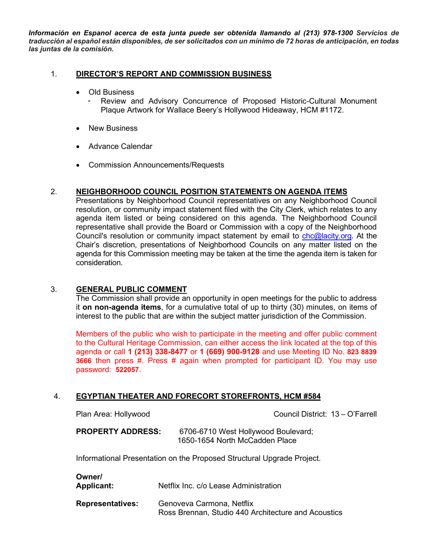*Información en Espanol acerca de esta junta puede ser obtenida Ilamando al (213) 978-1300 Servicios de traducción al español están disponibles, de ser solicitados con un mínimo de 72 horas de anticipación, en todas las juntas de la comisión.*

## 1. **[DIRECTOR'S REPORT AND COMMISSION BUSINESS](https://planning.lacity.org/odocument/32bfd842-03d8-4b04-bae4-4101bd4a624b/Plaque_Artwork_Wallace_Beerys_(4-15-21).pdf)**

- Old Business
	- Review and Advisory Concurrence of Proposed Historic-Cultural Monument Plaque Artwork for Wallace Beery's Hollywood Hideaway, HCM #1172.
- New Business
- Advance Calendar
- Commission Announcements/Requests

# 2. **NEIGHBORHOOD COUNCIL POSITION STATEMENTS ON AGENDA ITEMS**

Presentations by Neighborhood Council representatives on any Neighborhood Council resolution, or community impact statement filed with the City Clerk, which relates to any agenda item listed or being considered on this agenda. The Neighborhood Council representative shall provide the Board or Commission with a copy of the Neighborhood Council's resolution or community impact statement by email to [chc@lacity.org.](mailto:chc@lacity.org) At the Chair's discretion, presentations of Neighborhood Councils on any matter listed on the agenda for this Commission meeting may be taken at the time the agenda item is taken for consideration.

## 3. **GENERAL PUBLIC COMMENT**

The Commission shall provide an opportunity in open meetings for the public to address it **on non-agenda items**, for a cumulative total of up to thirty (30) minutes, on items of interest to the public that are within the subject matter jurisdiction of the Commission.

Members of the public who wish to participate in the meeting and offer public comment to the Cultural Heritage Commission, can either access the link located at the top of this agenda or call **1 (213) 338-8477** or **1 (669) 900-9128** and use Meeting ID No. **823 8839 3666** then press #. Press # again when prompted for participant ID. You may use password: **522057**.

# 4. **EGYPTIAN THEATER AND FORECORT STOREFRONTS, HCM #584**

| Plan Area: Hollywood |
|----------------------|
|----------------------|

Council District: 13 – O'Farrell

**PROPERTY ADDRESS:** 6706-6710 West Hollywood Boulevard; 1650-1654 North McCadden Place

Informational Presentation on the Proposed Structural Upgrade Project.

# **Owner/**

**Applicant:** Netflix Inc. c/o Lease Administration

**Representatives:** Genoveva Carmona, Netflix Ross Brennan, Studio 440 Architecture and Acoustics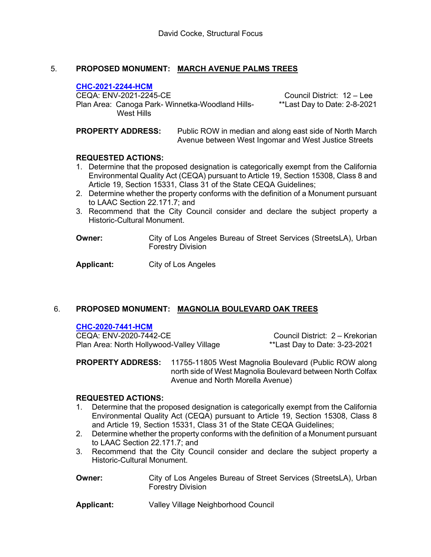# 5. **PROPOSED MONUMENT: [MARCH AVENUE PALMS TREES](https://planning.lacity.org/odocument/8cf14252-1ab7-43fa-923e-1c6bb8f874f0/CHC-2021-2244-HCM_(4-15-21).pdf)**

## **CHC-2021-2244-HCM**

CEQA: ENV-2021-2245-CE<br>Plan Area: Canoga Park- Winnetka-Woodland Hills- \*\*Last Day to Date: 2-8-2021 Plan Area: Canoga Park- Winnetka-Woodland Hills-West Hills

**PROPERTY ADDRESS:** Public ROW in median and along east side of North March Avenue between West Ingomar and West Justice Streets

## **REQUESTED ACTIONS:**

- 1. Determine that the proposed designation is categorically exempt from the California Environmental Quality Act (CEQA) pursuant to Article 19, Section 15308, Class 8 and Article 19, Section 15331, Class 31 of the State CEQA Guidelines;
- 2. Determine whether the property conforms with the definition of a Monument pursuant to LAAC Section 22.171.7; and
- 3. Recommend that the City Council consider and declare the subject property a Historic-Cultural Monument.

**Owner: City of Los Angeles Bureau of Street Services (StreetsLA), Urban** Forestry Division

**Applicant:** City of Los Angeles

# 6. **PROPOSED MONUMENT: [MAGNOLIA BOULEVARD OAK TREES](https://planning.lacity.org/odocument/f2ed8736-ca6c-4af2-aaac-1a23a258a19c/CHC-2020-7441-HCM_(4-15-21).pdf)**

## **CHC-2020-7441-HCM**

CEQA: ENV-2020-7442-CE CEQA: ENV-2020-7442-CE<br>Plan Area: North Hollywood-Valley Village \*\*Last Day to Date: 3-23-2021 Plan Area: North Hollywood-Valley Village

**PROPERTY ADDRESS:** 11755-11805 West Magnolia Boulevard (Public ROW along north side of West Magnolia Boulevard between North Colfax Avenue and North Morella Avenue)

## **REQUESTED ACTIONS:**

- 1. Determine that the proposed designation is categorically exempt from the California Environmental Quality Act (CEQA) pursuant to Article 19, Section 15308, Class 8 and Article 19, Section 15331, Class 31 of the State CEQA Guidelines;
- 2. Determine whether the property conforms with the definition of a Monument pursuant to LAAC Section 22.171.7; and
- 3. Recommend that the City Council consider and declare the subject property a Historic-Cultural Monument.
- **Owner: City of Los Angeles Bureau of Street Services (StreetsLA), Urban** Forestry Division

**Applicant:** Valley Village Neighborhood Council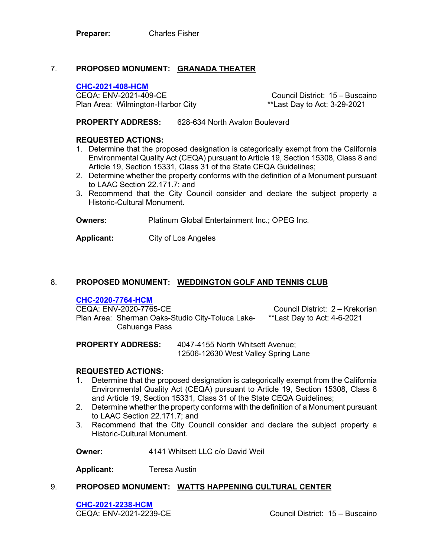# 7. **[PROPOSED MONUMENT:](https://planning.lacity.org/odocument/432ee372-d5a8-4bb9-a52c-a241b5b553d7/CHC-2021-408-HCM_(4-15-21).pdf) GRANADA THEATER**

#### **CHC-2021-408-HCM**

CEQA: ENV-2021-409-CE Council District: 15 – Buscaino Plan Area: Wilmington-Harbor City

**PROPERTY ADDRESS:** 628-634 North Avalon Boulevard

## **REQUESTED ACTIONS:**

- 1. Determine that the proposed designation is categorically exempt from the California Environmental Quality Act (CEQA) pursuant to Article 19, Section 15308, Class 8 and Article 19, Section 15331, Class 31 of the State CEQA Guidelines;
- 2. Determine whether the property conforms with the definition of a Monument pursuant to LAAC Section 22.171.7; and
- 3. Recommend that the City Council consider and declare the subject property a Historic-Cultural Monument.

**Owners:** Platinum Global Entertainment Inc.; OPEG Inc.

**Applicant:** City of Los Angeles

## 8. **PROPOSED MONUMENT: [WEDDINGTON GOLF AND TENNIS CLUB](https://planning.lacity.org/odocument/5ae20992-41fd-4739-a6b0-66003878f981/CHC-2020-7764-HCM_(4-15-21).pdf)**

**CHC-2020-7764-HCM** Plan Area: Sherman Oaks-Studio City-Toluca Lake- \*\*Last Day to Act: 4-6-2021 Cahuenga Pass

Council District: 2 – Krekorian

**PROPERTY ADDRESS:** 4047-4155 North Whitsett Avenue; 12506-12630 West Valley Spring Lane

## **REQUESTED ACTIONS:**

- 1. Determine that the proposed designation is categorically exempt from the California Environmental Quality Act (CEQA) pursuant to Article 19, Section 15308, Class 8 and Article 19, Section 15331, Class 31 of the State CEQA Guidelines;
- 2. Determine whether the property conforms with the definition of a Monument pursuant to LAAC Section 22.171.7; and
- 3. Recommend that the City Council consider and declare the subject property a Historic-Cultural Monument.

**Owner:** 4141 Whitsett LLC c/o David Weil

**Applicant:** Teresa Austin

## 9. **PROPOSED MONUMENT: [WATTS HAPPENING CULTURAL](https://planning.lacity.org/odocument/c0607bc6-b5e4-4d6d-a3fa-141d4fc8a05a/CHC-2021-2238-HCM_(4-15-21).pdf) CENTER**

**CHC-2021-2238-HCM**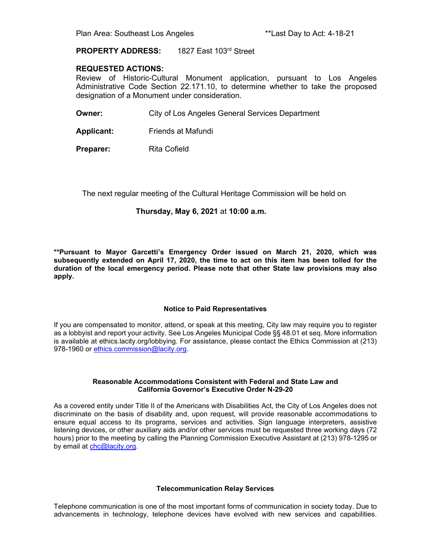## **PROPERTY ADDRESS:** 1827 East 103rd Street

#### **REQUESTED ACTIONS:**

Review of Historic-Cultural Monument application, pursuant to Los Angeles Administrative Code Section 22.171.10, to determine whether to take the proposed designation of a Monument under consideration.

**Owner: City of Los Angeles General Services Department** 

**Applicant:** Friends at Mafundi

**Preparer:** Rita Cofield

The next regular meeting of the Cultural Heritage Commission will be held on

#### **Thursday, May 6, 2021** at **10:00 a.m.**

**\*\*Pursuant to Mayor Garcetti's Emergency Order issued on March 21, 2020, which was subsequently extended on April 17, 2020, the time to act on this item has been tolled for the duration of the local emergency period. Please note that other State law provisions may also apply.**

#### **Notice to Paid Representatives**

If you are compensated to monitor, attend, or speak at this meeting, City law may require you to register as a lobbyist and report your activity. See Los Angeles Municipal Code §§ 48.01 et seq. More information is available at ethics.lacity.org/lobbying. For assistance, please contact the Ethics Commission at (213) 978-1960 or [ethics.commission@lacity.org.](mailto:ethics.commission@lacity.org)

#### **Reasonable Accommodations Consistent with Federal and State Law and California Governor's Executive Order N-29-20**

As a covered entity under Title II of the Americans with Disabilities Act, the City of Los Angeles does not discriminate on the basis of disability and, upon request, will provide reasonable accommodations to ensure equal access to its programs, services and activities. Sign language interpreters, assistive listening devices, or other auxiliary aids and/or other services must be requested three working days (72 hours) prior to the meeting by calling the Planning Commission Executive Assistant at (213) 978-1295 or by email at [chc@lacity.org.](mailto:chc@lacity.org)

#### **Telecommunication Relay Services**

Telephone communication is one of the most important forms of communication in society today. Due to advancements in technology, telephone devices have evolved with new services and capabilities.